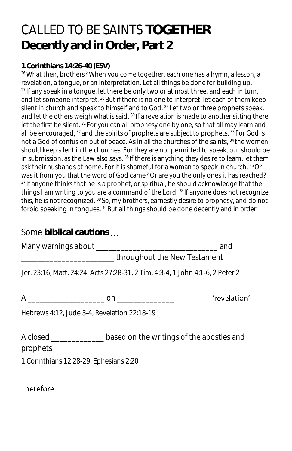## CALLED TO BE SAINTS **TOGETHER Decently and in Order, Part 2**

## **1 Corinthians 14:26-40 (ESV)**

<sup>26</sup> What then, brothers? When you come together, each one has a hymn, a lesson, a revelation, a tongue, or an interpretation. Let all things be done for building up.  $27$  If any speak in a tongue, let there be only two or at most three, and each in turn, and let someone interpret. <sup>28</sup> But if there is no one to interpret, let each of them keep silent in church and speak to himself and to God. <sup>29</sup> Let two or three prophets speak, and let the others weigh what is said. <sup>30</sup> If a revelation is made to another sitting there, let the first be silent. <sup>31</sup> For you can all prophesy one by one, so that all may learn and all be encouraged,  $32$  and the spirits of prophets are subject to prophets.  $33$  For God is not a God of confusion but of peace. As in all the churches of the saints, <sup>34</sup> the women should keep silent in the churches. For they are not permitted to speak, but should be in submission, as the Law also says.  $35$  If there is anything they desire to learn, let them ask their husbands at home. For it is shameful for a woman to speak in church. <sup>36</sup>Or was it from you that the word of God came? Or are you the only ones it has reached? <sup>37</sup> If anyone thinks that he is a prophet, or spiritual, he should acknowledge that the things I am writing to you are a command of the Lord.<sup>38</sup> If anyone does not recognize this, he is not recognized. <sup>39</sup> So, my brothers, earnestly desire to prophesy, and do not forbid speaking in tongues. <sup>40</sup> But all things should be done decently and in order.

## Some **biblical cautions**

Many warnings about \_\_\_\_\_\_\_\_\_\_\_\_\_\_\_\_\_\_\_\_\_\_\_\_\_\_\_\_\_\_ and

\_\_\_\_\_\_\_\_\_\_\_\_\_\_\_\_\_\_\_\_\_\_\_ throughout the New Testament

Jer. 23:16, Matt. 24:24, Acts 27:28-31, 2 Tim. 4:3-4, 1 John 4:1-6, 2 Peter 2

A definition on the contract of the contract of the contract of the contract of the contract of the contract of the contract of the contract of the contract of the contract of the contract of the contract of the contract o

Hebrews 4:12, Jude 3-4, Revelation 22:18-19

A closed based on the writings of the apostles and

prophets

1 Corinthians 12:28-29, Ephesians 2:20

Therefore ...